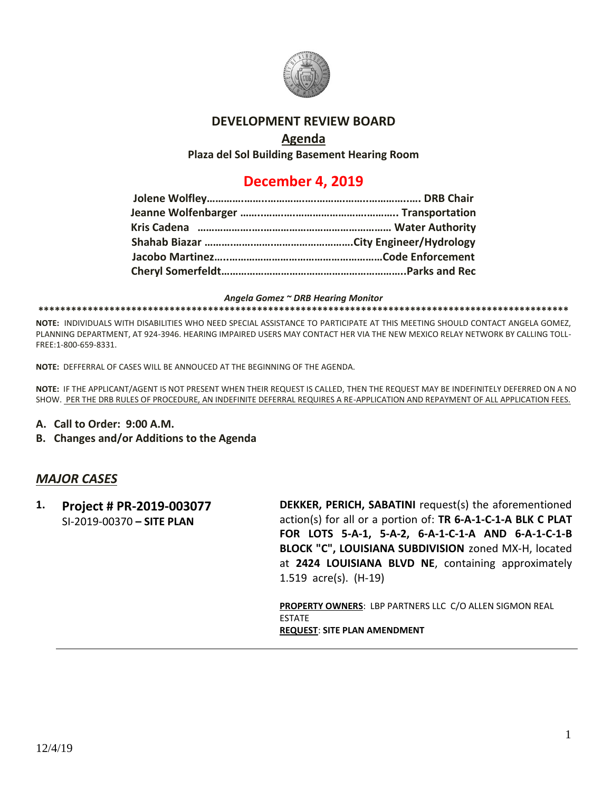

#### **DEVELOPMENT REVIEW BOARD**

### **Agenda**

**Plaza del Sol Building Basement Hearing Room**

# **December 4, 2019**

#### *Angela Gomez ~ DRB Hearing Monitor*

#### **\*\*\*\*\*\*\*\*\*\*\*\*\*\*\*\*\*\*\*\*\*\*\*\*\*\*\*\*\*\*\*\*\*\*\*\*\*\*\*\*\*\*\*\*\*\*\*\*\*\*\*\*\*\*\*\*\*\*\*\*\*\*\*\*\*\*\*\*\*\*\*\*\*\*\*\*\*\*\*\*\*\*\*\*\*\*\*\*\*\*\*\*\*\*\*\*\***

**NOTE:** INDIVIDUALS WITH DISABILITIES WHO NEED SPECIAL ASSISTANCE TO PARTICIPATE AT THIS MEETING SHOULD CONTACT ANGELA GOMEZ, PLANNING DEPARTMENT, AT 924-3946. HEARING IMPAIRED USERS MAY CONTACT HER VIA THE NEW MEXICO RELAY NETWORK BY CALLING TOLL-FREE:1-800-659-8331.

**NOTE:** DEFFERRAL OF CASES WILL BE ANNOUCED AT THE BEGINNING OF THE AGENDA.

**NOTE:** IF THE APPLICANT/AGENT IS NOT PRESENT WHEN THEIR REQUEST IS CALLED, THEN THE REQUEST MAY BE INDEFINITELY DEFERRED ON A NO SHOW. PER THE DRB RULES OF PROCEDURE, AN INDEFINITE DEFERRAL REQUIRES A RE-APPLICATION AND REPAYMENT OF ALL APPLICATION FEES.

- **A. Call to Order: 9:00 A.M.**
- **B. Changes and/or Additions to the Agenda**

#### *MAJOR CASES*

**1. Project # PR-2019-003077** SI-2019-00370 **– SITE PLAN DEKKER, PERICH, SABATINI** request(s) the aforementioned action(s) for all or a portion of: **TR 6-A-1-C-1-A BLK C PLAT FOR LOTS 5-A-1, 5-A-2, 6-A-1-C-1-A AND 6-A-1-C-1-B BLOCK "C", LOUISIANA SUBDIVISION** zoned MX-H, located at **2424 LOUISIANA BLVD NE**, containing approximately 1.519 acre(s). (H-19)

> **PROPERTY OWNERS**: LBP PARTNERS LLC C/O ALLEN SIGMON REAL **FSTATE REQUEST**: **SITE PLAN AMENDMENT**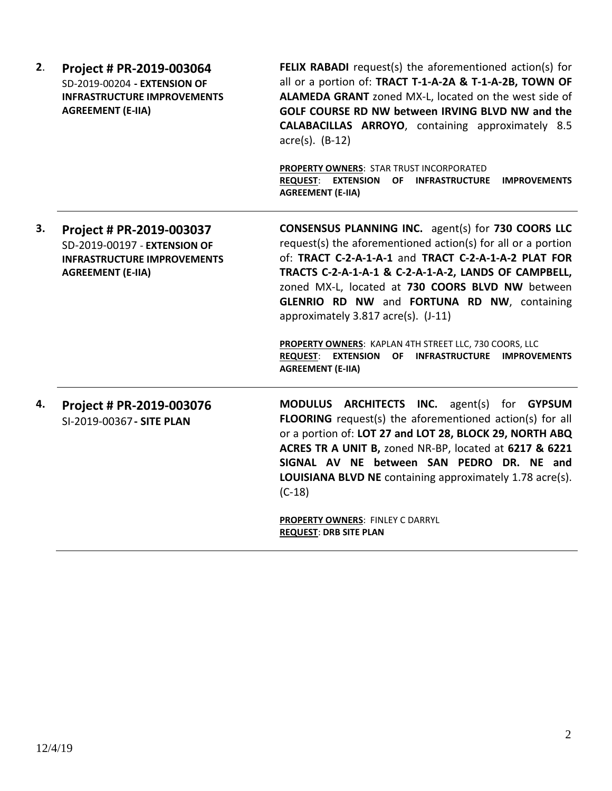| 2. | Project # PR-2019-003064<br>SD-2019-00204 - EXTENSION OF<br><b>INFRASTRUCTURE IMPROVEMENTS</b><br><b>AGREEMENT (E-IIA)</b> | <b>FELIX RABADI</b> request(s) the aforementioned action(s) for<br>all or a portion of: TRACT T-1-A-2A & T-1-A-2B, TOWN OF<br>ALAMEDA GRANT zoned MX-L, located on the west side of<br>GOLF COURSE RD NW between IRVING BLVD NW and the<br>CALABACILLAS ARROYO, containing approximately 8.5<br>$\arccos(5)$ . (B-12)<br>PROPERTY OWNERS: STAR TRUST INCORPORATED<br><b>REQUEST: EXTENSION</b><br>OF INFRASTRUCTURE<br><b>IMPROVEMENTS</b><br><b>AGREEMENT (E-IIA)</b>                                                                                    |
|----|----------------------------------------------------------------------------------------------------------------------------|-----------------------------------------------------------------------------------------------------------------------------------------------------------------------------------------------------------------------------------------------------------------------------------------------------------------------------------------------------------------------------------------------------------------------------------------------------------------------------------------------------------------------------------------------------------|
| 3. | Project # PR-2019-003037<br>SD-2019-00197 - EXTENSION OF<br><b>INFRASTRUCTURE IMPROVEMENTS</b><br><b>AGREEMENT (E-IIA)</b> | <b>CONSENSUS PLANNING INC.</b> agent(s) for 730 COORS LLC<br>request(s) the aforementioned action(s) for all or a portion<br>of: TRACT C-2-A-1-A-1 and TRACT C-2-A-1-A-2 PLAT FOR<br>TRACTS C-2-A-1-A-1 & C-2-A-1-A-2, LANDS OF CAMPBELL,<br>zoned MX-L, located at 730 COORS BLVD NW between<br>GLENRIO RD NW and FORTUNA RD NW, containing<br>approximately 3.817 acre(s). (J-11)<br><b>PROPERTY OWNERS: KAPLAN 4TH STREET LLC, 730 COORS, LLC</b><br><b>REQUEST:</b><br><b>EXTENSION</b><br>OF INFRASTRUCTURE IMPROVEMENTS<br><b>AGREEMENT (E-IIA)</b> |
| 4. | Project # PR-2019-003076<br>SI-2019-00367 - SITE PLAN                                                                      | <b>ARCHITECTS INC.</b> agent(s) for <b>GYPSUM</b><br><b>MODULUS</b><br>FLOORING request(s) the aforementioned action(s) for all<br>or a portion of: LOT 27 and LOT 28, BLOCK 29, NORTH ABQ<br>ACRES TR A UNIT B, zoned NR-BP, located at 6217 & 6221<br>SIGNAL AV NE between SAN PEDRO DR. NE and<br>LOUISIANA BLVD NE containing approximately 1.78 acre(s).<br>$(C-18)$<br><b>PROPERTY OWNERS: FINLEY C DARRYL</b><br><b>REQUEST: DRB SITE PLAN</b>                                                                                                     |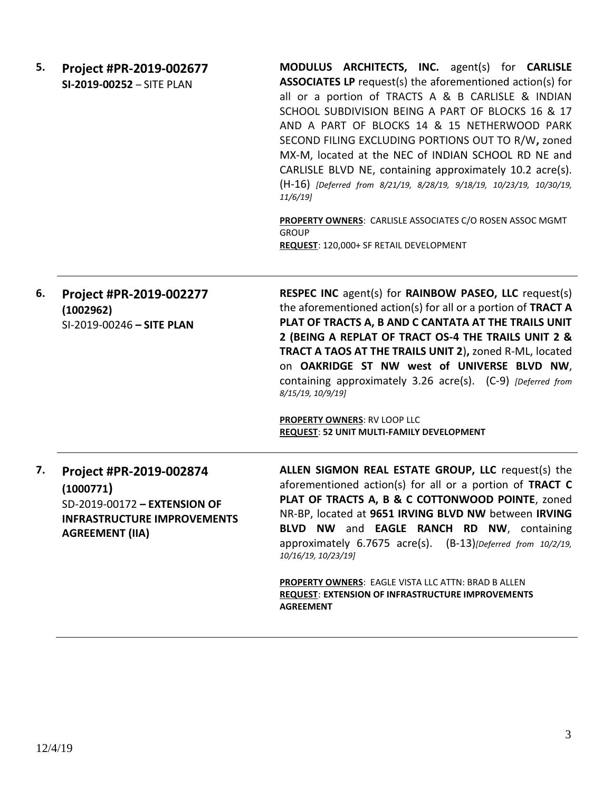| 5. | Project #PR-2019-002677<br>SI-2019-00252 - SITE PLAN                                                                                 | MODULUS ARCHITECTS, INC. agent(s) for CARLISLE<br><b>ASSOCIATES LP</b> request(s) the aforementioned action(s) for<br>all or a portion of TRACTS A & B CARLISLE & INDIAN<br>SCHOOL SUBDIVISION BEING A PART OF BLOCKS 16 & 17<br>AND A PART OF BLOCKS 14 & 15 NETHERWOOD PARK<br>SECOND FILING EXCLUDING PORTIONS OUT TO R/W, zoned<br>MX-M, located at the NEC of INDIAN SCHOOL RD NE and<br>CARLISLE BLVD NE, containing approximately 10.2 acre(s).<br>(H-16) [Deferred from 8/21/19, 8/28/19, 9/18/19, 10/23/19, 10/30/19,<br>$11/6/19$ ]<br>PROPERTY OWNERS: CARLISLE ASSOCIATES C/O ROSEN ASSOC MGMT<br><b>GROUP</b><br>REQUEST: 120,000+ SF RETAIL DEVELOPMENT |
|----|--------------------------------------------------------------------------------------------------------------------------------------|-----------------------------------------------------------------------------------------------------------------------------------------------------------------------------------------------------------------------------------------------------------------------------------------------------------------------------------------------------------------------------------------------------------------------------------------------------------------------------------------------------------------------------------------------------------------------------------------------------------------------------------------------------------------------|
| 6. | Project #PR-2019-002277<br>(1002962)<br>SI-2019-00246 - SITE PLAN                                                                    | <b>RESPEC INC</b> agent(s) for <b>RAINBOW PASEO, LLC</b> request(s)<br>the aforementioned action(s) for all or a portion of TRACT A<br>PLAT OF TRACTS A, B AND C CANTATA AT THE TRAILS UNIT<br>2 (BEING A REPLAT OF TRACT OS-4 THE TRAILS UNIT 2 &<br>TRACT A TAOS AT THE TRAILS UNIT 2), zoned R-ML, located<br>on OAKRIDGE ST NW west of UNIVERSE BLVD NW,<br>containing approximately 3.26 acre(s). (C-9) [Deferred from<br>8/15/19, 10/9/19]<br><b>PROPERTY OWNERS: RV LOOP LLC</b><br>REQUEST: 52 UNIT MULTI-FAMILY DEVELOPMENT                                                                                                                                  |
| 7. | Project #PR-2019-002874<br>(1000771)<br>SD-2019-00172 - EXTENSION OF<br><b>INFRASTRUCTURE IMPROVEMENTS</b><br><b>AGREEMENT (IIA)</b> | ALLEN SIGMON REAL ESTATE GROUP, LLC request(s) the<br>aforementioned action(s) for all or a portion of TRACT C<br>PLAT OF TRACTS A, B & C COTTONWOOD POINTE, zoned<br>NR-BP, located at 9651 IRVING BLVD NW between IRVING<br>BLVD NW and EAGLE RANCH RD NW, containing<br>approximately 6.7675 acre(s). (B-13)[Deferred from 10/2/19,<br>10/16/19, 10/23/19]<br>PROPERTY OWNERS: EAGLE VISTA LLC ATTN: BRAD B ALLEN<br><b>REQUEST: EXTENSION OF INFRASTRUCTURE IMPROVEMENTS</b><br><b>AGREEMENT</b>                                                                                                                                                                  |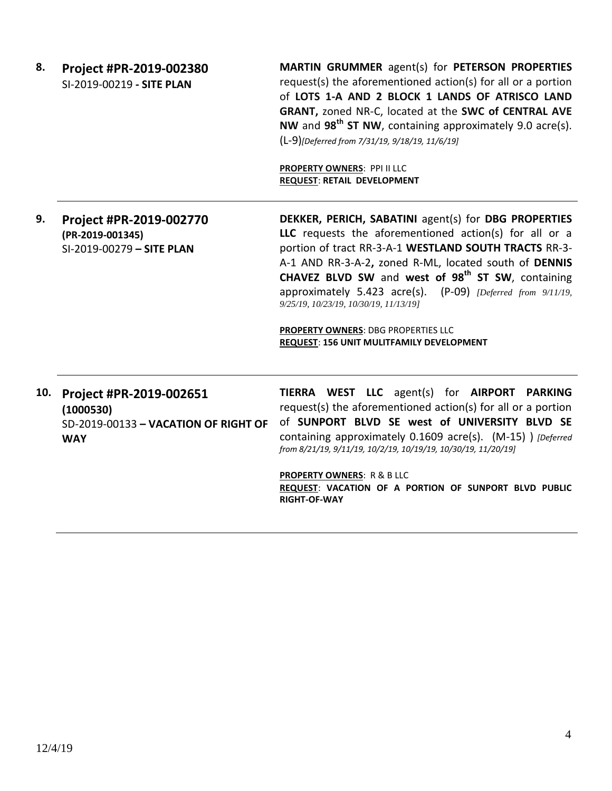**8. Project #PR-2019-002380** SI-2019-00219 **- SITE PLAN**

**MARTIN GRUMMER** agent(s) for **PETERSON PROPERTIES** request(s) the aforementioned action(s) for all or a portion of **LOTS 1-A AND 2 BLOCK 1 LANDS OF ATRISCO LAND GRANT,** zoned NR-C, located at the **SWC of CENTRAL AVE NW** and **98th ST NW**, containing approximately 9.0 acre(s). (L-9)*[Deferred from 7/31/19, 9/18/19, 11/6/19]*

**PROPERTY OWNERS**: PPI II LLC **REQUEST**: **RETAIL DEVELOPMENT**

#### **9. Project #PR-2019-002770 (PR-2019-001345)** SI-2019-00279 **– SITE PLAN**

**DEKKER, PERICH, SABATINI** agent(s) for **DBG PROPERTIES LLC** requests the aforementioned action(s) for all or a portion of tract RR-3-A-1 **WESTLAND SOUTH TRACTS** RR-3- A-1 AND RR-3-A-2**,** zoned R-ML, located south of **DENNIS CHAVEZ BLVD SW** and **west of 98th ST SW**, containing approximately 5.423 acre(s). (P-09) *[Deferred from 9/11/19, 9/25/19, 10/23/19, 10/30/19, 11/13/19]*

**PROPERTY OWNERS**: DBG PROPERTIES LLC **REQUEST**: **156 UNIT MULITFAMILY DEVELOPMENT**

## **10. Project #PR-2019-002651 (1000530)** SD-2019-00133 **– VACATION OF RIGHT OF WAY**

**TIERRA WEST LLC** agent(s) for **AIRPORT PARKING** request(s) the aforementioned action(s) for all or a portion of **SUNPORT BLVD SE west of UNIVERSITY BLVD SE** containing approximately 0.1609 acre(s). (M-15) ) *[Deferred from 8/21/19, 9/11/19, 10/2/19, 10/19/19, 10/30/19, 11/20/19]*

**PROPERTY OWNERS**: R & B LLC **REQUEST**: **VACATION OF A PORTION OF SUNPORT BLVD PUBLIC RIGHT-OF-WAY**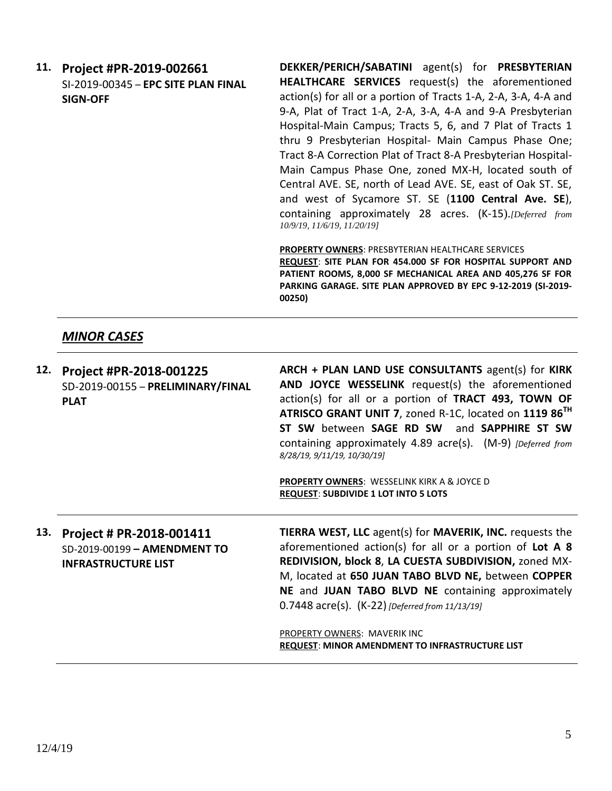**11. Project #PR-2019-002661** SI-2019-00345 – **EPC SITE PLAN FINAL SIGN-OFF**

**DEKKER/PERICH/SABATINI** agent(s) for **PRESBYTERIAN HEALTHCARE SERVICES** request(s) the aforementioned action(s) for all or a portion of Tracts 1-A, 2-A, 3-A, 4-A and 9-A, Plat of Tract 1-A, 2-A, 3-A, 4-A and 9-A Presbyterian Hospital-Main Campus; Tracts 5, 6, and 7 Plat of Tracts 1 thru 9 Presbyterian Hospital- Main Campus Phase One; Tract 8-A Correction Plat of Tract 8-A Presbyterian Hospital-Main Campus Phase One, zoned MX-H, located south of Central AVE. SE, north of Lead AVE. SE, east of Oak ST. SE, and west of Sycamore ST. SE (**1100 Central Ave. SE**), containing approximately 28 acres. (K-15).*[Deferred from 10/9/19, 11/6/19, 11/20/19]* 

**PROPERTY OWNERS**: PRESBYTERIAN HEALTHCARE SERVICES **REQUEST**: **SITE PLAN FOR 454.000 SF FOR HOSPITAL SUPPORT AND PATIENT ROOMS, 8,000 SF MECHANICAL AREA AND 405,276 SF FOR PARKING GARAGE. SITE PLAN APPROVED BY EPC 9-12-2019 (SI-2019- 00250)**

# *MINOR CASES*

**12. Project #PR-2018-001225** SD-2019-00155 – **PRELIMINARY/FINAL PLAT ARCH + PLAN LAND USE CONSULTANTS** agent(s) for **KIRK AND JOYCE WESSELINK** request(s) the aforementioned action(s) for all or a portion of **TRACT 493, TOWN OF ATRISCO GRANT UNIT 7**, zoned R-1C, located on **1119 86TH ST SW** between **SAGE RD SW** and **SAPPHIRE ST SW** containing approximately 4.89 acre(s). (M-9) *[Deferred from 8/28/19, 9/11/19, 10/30/19]* **PROPERTY OWNERS**: WESSELINK KIRK A & JOYCE D **REQUEST**: **SUBDIVIDE 1 LOT INTO 5 LOTS 13. Project # PR-2018-001411** SD-2019-00199 **– AMENDMENT TO INFRASTRUCTURE LIST TIERRA WEST, LLC** agent(s) for **MAVERIK, INC.** requests the aforementioned action(s) for all or a portion of **Lot A 8 REDIVISION, block 8**, **LA CUESTA SUBDIVISION,** zoned MX-M, located at **650 JUAN TABO BLVD NE,** between **COPPER NE** and **JUAN TABO BLVD NE** containing approximately 0.7448 acre(s). (K-22) *[Deferred from 11/13/19]* PROPERTY OWNERS: MAVERIK INC **REQUEST**: **MINOR AMENDMENT TO INFRASTRUCTURE LIST**